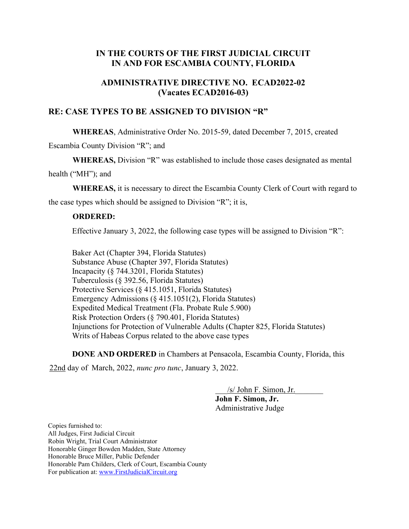## IN THE COURTS OF THE FIRST JUDICIAL CIRCUIT IN AND FOR ESCAMBIA COUNTY, FLORIDA

## ADMINISTRATIVE DIRECTIVE NO. ECAD2022-02 (Vacates ECAD2016-03)

## RE: CASE TYPES TO BE ASSIGNED TO DIVISION "R"

WHEREAS, Administrative Order No. 2015-59, dated December 7, 2015, created

Escambia County Division "R"; and

WHEREAS, Division "R" was established to include those cases designated as mental

health ("MH"); and

WHEREAS, it is necessary to direct the Escambia County Clerk of Court with regard to

the case types which should be assigned to Division "R"; it is,

## ORDERED:

Effective January 3, 2022, the following case types will be assigned to Division "R":

Baker Act (Chapter 394, Florida Statutes) Substance Abuse (Chapter 397, Florida Statutes) Incapacity (§ 744.3201, Florida Statutes) Tuberculosis (§ 392.56, Florida Statutes) Protective Services (§ 415.1051, Florida Statutes) Emergency Admissions (§ 415.1051(2), Florida Statutes) Expedited Medical Treatment (Fla. Probate Rule 5.900) Risk Protection Orders (§ 790.401, Florida Statutes) Injunctions for Protection of Vulnerable Adults (Chapter 825, Florida Statutes) Writs of Habeas Corpus related to the above case types

DONE AND ORDERED in Chambers at Pensacola, Escambia County, Florida, this

22nd day of March, 2022, nunc pro tunc, January 3, 2022.

\_\_\_/s/ John F. Simon, Jr.\_\_\_\_\_\_\_ John F. Simon, Jr.

Administrative Judge

Copies furnished to: All Judges, First Judicial Circuit Robin Wright, Trial Court Administrator Honorable Ginger Bowden Madden, State Attorney Honorable Bruce Miller, Public Defender Honorable Pam Childers, Clerk of Court, Escambia County For publication at: www.FirstJudicialCircuit.org